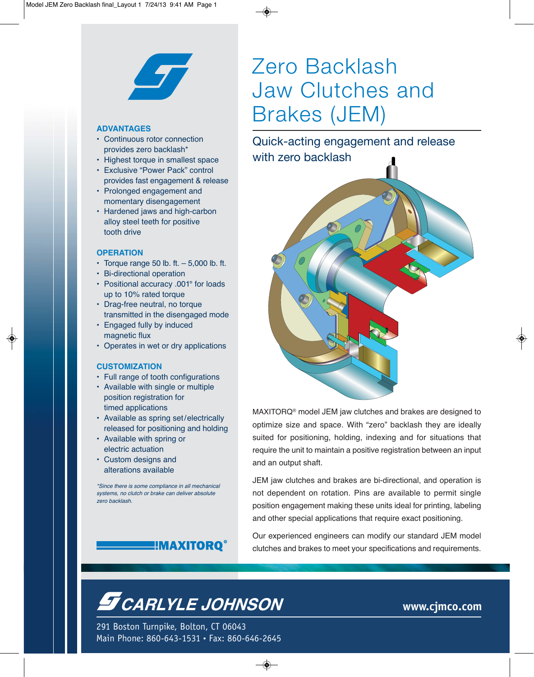

### **ADVANTAGES**

- Continuous rotor connection provides zero backlash\*
- Highest torque in smallest space
- Exclusive "Power Pack" control provides fast engagement & release
- Prolonged engagement and momentary disengagement
- Hardened jaws and high-carbon alloy steel teeth for positive tooth drive

### **OPERATION**

- Torque range 50 lb. ft.  $-5,000$  lb. ft.
- Bi-directional operation
- Positional accuracy .001° for loads up to 10% rated torque
- Drag-free neutral, no torque transmitted in the disengaged mode
- Engaged fully by induced magnetic flux
- Operates in wet or dry applications

#### **CUSTOMIZATION**

- Full range of tooth configurations
- Available with single or multiple position registration for timed applications
- Available as spring set/electrically released for positioning and holding
- Available with spring or electric actuation
- Custom designs and alterations available

\*Since there is some compliance in all mechanical systems, no clutch or brake can deliver absolute zero backlash.

## <u>E MAXITORO</u>®

# Zero Backlash Jaw Clutches and Brakes (JEM)

Quick-acting engagement and release with zero backlash



MAXITORQ® model JEM jaw clutches and brakes are designed to optimize size and space. With "zero" backlash they are ideally suited for positioning, holding, indexing and for situations that require the unit to maintain a positive registration between an input and an output shaft.

JEM jaw clutches and brakes are bi-directional, and operation is not dependent on rotation. Pins are available to permit single position engagement making these units ideal for printing, labeling and other special applications that require exact positioning.

Our experienced engineers can modify our standard JEM model clutches and brakes to meet your specifications and requirements.

## **S** CARLYLE JOHNSON

291 Boston Turnpike, Bolton, CT 06043 Main Phone: 860-643-1531 • Fax: 860-646-2645 **www.cjmco.com**